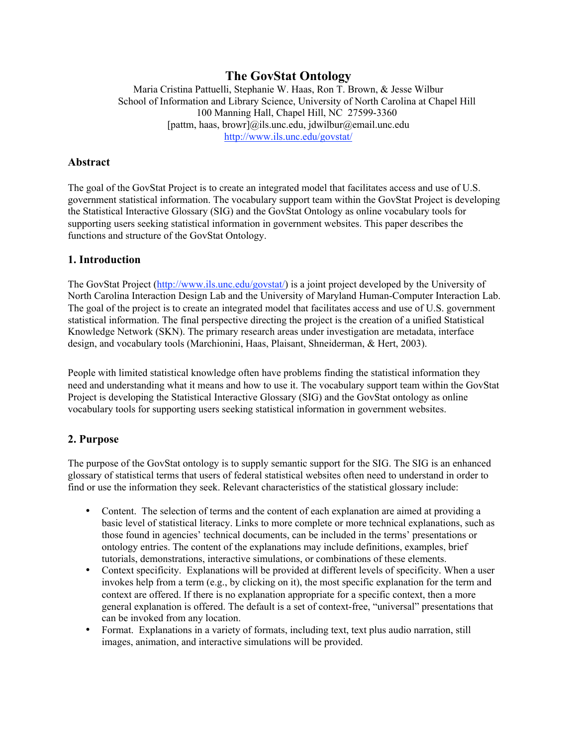# **The GovStat Ontology**

Maria Cristina Pattuelli, Stephanie W. Haas, Ron T. Brown, & Jesse Wilbur School of Information and Library Science, University of North Carolina at Chapel Hill 100 Manning Hall, Chapel Hill, NC 27599-3360 [pattm, haas, browr]@ils.unc.edu, jdwilbur@email.unc.edu http://www.ils.unc.edu/govstat/

#### **Abstract**

The goal of the GovStat Project is to create an integrated model that facilitates access and use of U.S. government statistical information. The vocabulary support team within the GovStat Project is developing the Statistical Interactive Glossary (SIG) and the GovStat Ontology as online vocabulary tools for supporting users seeking statistical information in government websites. This paper describes the functions and structure of the GovStat Ontology.

#### **1. Introduction**

The GovStat Project (http://www.ils.unc.edu/govstat/) is a joint project developed by the University of North Carolina Interaction Design Lab and the University of Maryland Human-Computer Interaction Lab. The goal of the project is to create an integrated model that facilitates access and use of U.S. government statistical information. The final perspective directing the project is the creation of a unified Statistical Knowledge Network (SKN). The primary research areas under investigation are metadata, interface design, and vocabulary tools (Marchionini, Haas, Plaisant, Shneiderman, & Hert, 2003).

People with limited statistical knowledge often have problems finding the statistical information they need and understanding what it means and how to use it. The vocabulary support team within the GovStat Project is developing the Statistical Interactive Glossary (SIG) and the GovStat ontology as online vocabulary tools for supporting users seeking statistical information in government websites.

## **2. Purpose**

The purpose of the GovStat ontology is to supply semantic support for the SIG. The SIG is an enhanced glossary of statistical terms that users of federal statistical websites often need to understand in order to find or use the information they seek. Relevant characteristics of the statistical glossary include:

- Content. The selection of terms and the content of each explanation are aimed at providing a basic level of statistical literacy. Links to more complete or more technical explanations, such as those found in agencies' technical documents, can be included in the terms' presentations or ontology entries. The content of the explanations may include definitions, examples, brief tutorials, demonstrations, interactive simulations, or combinations of these elements.
- Context specificity. Explanations will be provided at different levels of specificity. When a user invokes help from a term (e.g., by clicking on it), the most specific explanation for the term and context are offered. If there is no explanation appropriate for a specific context, then a more general explanation is offered. The default is a set of context-free, "universal" presentations that can be invoked from any location.
- Format. Explanations in a variety of formats, including text, text plus audio narration, still images, animation, and interactive simulations will be provided.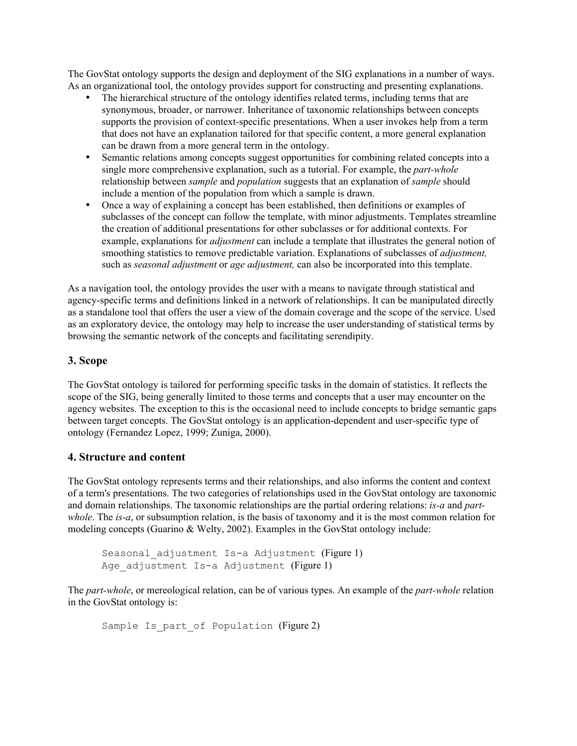The GovStat ontology supports the design and deployment of the SIG explanations in a number of ways. As an organizational tool, the ontology provides support for constructing and presenting explanations.

- The hierarchical structure of the ontology identifies related terms, including terms that are synonymous, broader, or narrower. Inheritance of taxonomic relationships between concepts supports the provision of context-specific presentations. When a user invokes help from a term that does not have an explanation tailored for that specific content, a more general explanation can be drawn from a more general term in the ontology.
- Semantic relations among concepts suggest opportunities for combining related concepts into a single more comprehensive explanation, such as a tutorial. For example, the *part-whole* relationship between *sample* and *population* suggests that an explanation of *sample* should include a mention of the population from which a sample is drawn.
- Once a way of explaining a concept has been established, then definitions or examples of subclasses of the concept can follow the template, with minor adjustments. Templates streamline the creation of additional presentations for other subclasses or for additional contexts. For example, explanations for *adjustment* can include a template that illustrates the general notion of smoothing statistics to remove predictable variation. Explanations of subclasses of *adjustment,* such as *seasonal adjustment* or *age adjustment,* can also be incorporated into this template.

As a navigation tool, the ontology provides the user with a means to navigate through statistical and agency-specific terms and definitions linked in a network of relationships. It can be manipulated directly as a standalone tool that offers the user a view of the domain coverage and the scope of the service. Used as an exploratory device, the ontology may help to increase the user understanding of statistical terms by browsing the semantic network of the concepts and facilitating serendipity.

## **3. Scope**

The GovStat ontology is tailored for performing specific tasks in the domain of statistics. It reflects the scope of the SIG, being generally limited to those terms and concepts that a user may encounter on the agency websites. The exception to this is the occasional need to include concepts to bridge semantic gaps between target concepts. The GovStat ontology is an application-dependent and user-specific type of ontology (Fernandez Lopez, 1999; Zuniga, 2000).

#### **4. Structure and content**

The GovStat ontology represents terms and their relationships, and also informs the content and context of a term's presentations. The two categories of relationships used in the GovStat ontology are taxonomic and domain relationships. The taxonomic relationships are the partial ordering relations: *is-a* and *partwhole*. The *is-a*, or subsumption relation, is the basis of taxonomy and it is the most common relation for modeling concepts (Guarino & Welty, 2002). Examples in the GovStat ontology include:

```
Seasonal adjustment Is-a Adjustment (Figure 1)
Age adjustment Is-a Adjustment (Figure 1)
```
The *part-whole*, or mereological relation, can be of various types. An example of the *part-whole* relation in the GovStat ontology is:

```
Sample Is part of Population (Figure 2)
```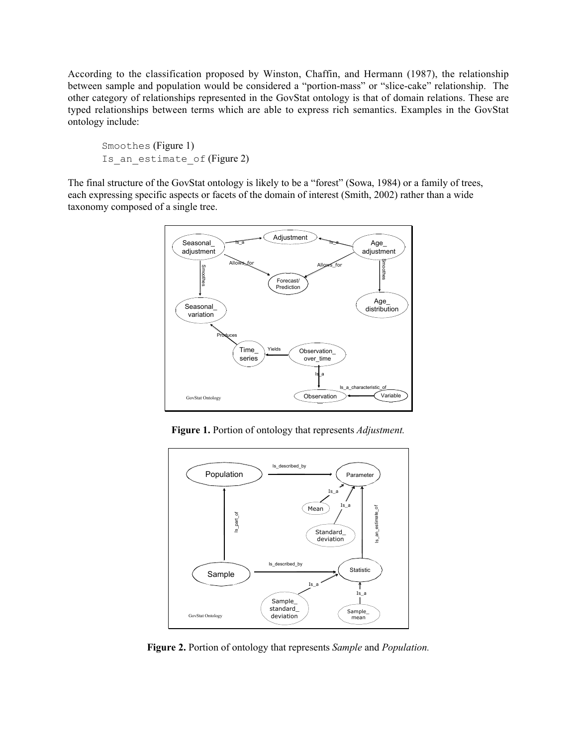According to the classification proposed by Winston, Chaffin, and Hermann (1987), the relationship between sample and population would be considered a "portion-mass" or "slice-cake" relationship. The other category of relationships represented in the GovStat ontology is that of domain relations. These are typed relationships between terms which are able to express rich semantics. Examples in the GovStat ontology include:

Smoothes (Figure 1) Is an estimate of (Figure 2)

The final structure of the GovStat ontology is likely to be a "forest" (Sowa, 1984) or a family of trees, each expressing specific aspects or facets of the domain of interest (Smith, 2002) rather than a wide taxonomy composed of a single tree.



**Figure 1.** Portion of ontology that represents *Adjustment.*



**Figure 2.** Portion of ontology that represents *Sample* and *Population.*